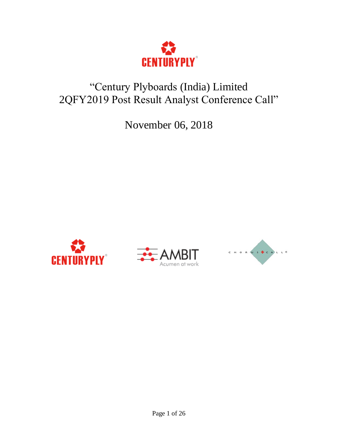

# "Century Plyboards (India) Limited 2QFY2019 Post Result Analyst Conference Call"

November 06, 2018





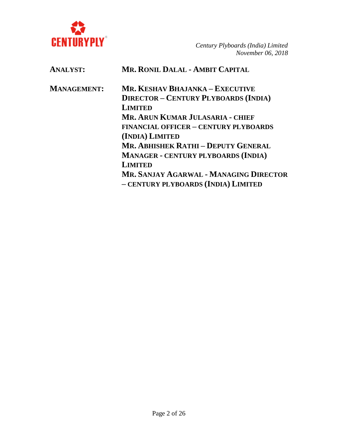

| <b>ANALYST:</b>    | <b>MR. RONIL DALAL - AMBIT CAPITAL</b>                                               |
|--------------------|--------------------------------------------------------------------------------------|
| <b>MANAGEMENT:</b> | MR. KESHAV BHAJANKA – EXECUTIVE                                                      |
|                    | <b>DIRECTOR - CENTURY PLYBOARDS (INDIA)</b>                                          |
|                    | <b>LIMITED</b>                                                                       |
|                    | MR. ARUN KUMAR JULASARIA - CHIEF                                                     |
|                    | <b>FINANCIAL OFFICER - CENTURY PLYBOARDS</b>                                         |
|                    | (INDIA) LIMITED                                                                      |
|                    | MR. ABHISHEK RATHI - DEPUTY GENERAL                                                  |
|                    | <b>MANAGER - CENTURY PLYBOARDS (INDIA)</b>                                           |
|                    | <b>LIMITED</b>                                                                       |
|                    | <b>MR. SANJAY AGARWAL - MANAGING DIRECTOR</b><br>- CENTURY PLYBOARDS (INDIA) LIMITED |
|                    |                                                                                      |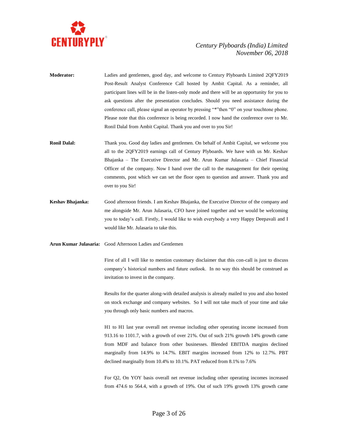

- **Moderator:** Ladies and gentlemen, good day, and welcome to Century Plyboards Limited 2QFY2019 Post-Result Analyst Conference Call hosted by Ambit Capital. As a reminder, all participant lines will be in the listen-only mode and there will be an opportunity for you to ask questions after the presentation concludes. Should you need assistance during the conference call, please signal an operator by pressing "\*"then "0" on your touchtone phone. Please note that this conference is being recorded. I now hand the conference over to Mr. Ronil Dalal from Ambit Capital. Thank you and over to you Sir!
- **Ronil Dalal:** Thank you. Good day ladies and gentlemen. On behalf of Ambit Capital, we welcome you all to the 2QFY2019 earnings call of Century Plyboards. We have with us Mr. Keshav Bhajanka – The Executive Director and Mr. Arun Kumar Julasaria – Chief Financial Officer of the company. Now I hand over the call to the management for their opening comments, post which we can set the floor open to question and answer. Thank you and over to you Sir!
- **Keshav Bhajanka:** Good afternoon friends. I am Keshav Bhajanka, the Executive Director of the company and me alongside Mr. Arun Julasaria, CFO have joined together and we would be welcoming you to today's call. Firstly, I would like to wish everybody a very Happy Deepavali and I would like Mr. Julasaria to take this.

#### **Arun Kumar Julasaria:** Good Afternoon Ladies and Gentlemen

First of all I will like to mention customary disclaimer that this con-call is just to discuss company's historical numbers and future outlook. In no way this should be construed as invitation to invest in the company.

Results for the quarter along-with detailed analysis is already mailed to you and also hosted on stock exchange and company websites. So I will not take much of your time and take you through only basic numbers and macros.

H1 to H1 last year overall net revenue including other operating income increased from 913.16 to 1101.7, with a growth of over 21%. Out of such 21% growth 14% growth came from MDF and balance from other businesses. Blended EBITDA margins declined marginally from 14.9% to 14.7%. EBIT margins increased from 12% to 12.7%. PBT declined marginally from 10.4% to 10.1%. PAT reduced from 8.1% to 7.6%

For Q2, On YOY basis overall net revenue including other operating incomes increased from 474.6 to 564.4, with a growth of 19%. Out of such 19% growth 13% growth came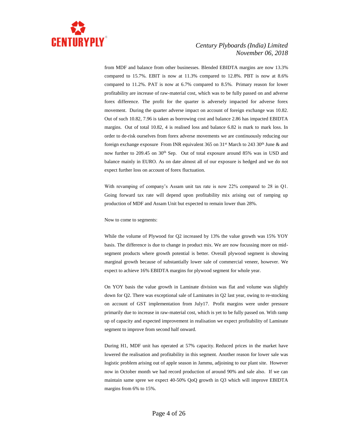

from MDF and balance from other businesses. Blended EBIDTA margins are now 13.3% compared to 15.7%. EBIT is now at 11.3% compared to 12.8%. PBT is now at 8.6% compared to 11.2%. PAT is now at 6.7% compared to 8.5%. Primary reason for lower profitability are increase of raw-material cost, which was to be fully passed on and adverse forex difference. The profit for the quarter is adversely impacted for adverse forex movement. During the quarter adverse impact on account of foreign exchange was 10.82. Out of such 10.82, 7.96 is taken as borrowing cost and balance 2.86 has impacted EBIDTA margins. Out of total 10.82, 4 is realised loss and balance 6.82 is mark to mark loss. In order to de-risk ourselves from forex adverse movements we are continuously reducing our foreign exchange exposure From INR equivalent 365 on  $31<sup>st</sup>$  March to 243 30<sup>th</sup> June & and now further to 209.45 on 30<sup>th</sup> Sep. Out of total exposure around 85% was in USD and balance mainly in EURO. As on date almost all of our exposure is hedged and we do not expect further loss on account of forex fluctuation.

With revamping of company's Assam unit tax rate is now 22% compared to 28 in Q1. Going forward tax rate will depend upon profitability mix arising out of ramping up production of MDF and Assam Unit but expected to remain lower than 28%.

Now to come to segments:

While the volume of Plywood for Q2 increased by 13% the value growth was 15% YOY basis. The difference is due to change in product mix. We are now focussing more on midsegment products where growth potential is better. Overall plywood segment is showing marginal growth because of substantially lower sale of commercial veneer, however. We expect to achieve 16% EBIDTA margins for plywood segment for whole year.

On YOY basis the value growth in Laminate division was flat and volume was slightly down for Q2. There was exceptional sale of Laminates in Q2 last year, owing to re-stocking on account of GST implementation from July17. Profit margins were under pressure primarily due to increase in raw-material cost, which is yet to be fully passed on. With ramp up of capacity and expected improvement in realisation we expect profitability of Laminate segment to improve from second half onward.

During H1, MDF unit has operated at 57% capacity. Reduced prices in the market have lowered the realisation and profitability in this segment. Another reason for lower sale was logistic problem arising out of apple season in Jammu, adjoining to our plant site. However now in October month we had record production of around 90% and sale also. If we can maintain same spree we expect 40-50% QoQ growth in Q3 which will improve EBIDTA margins from 6% to 15%.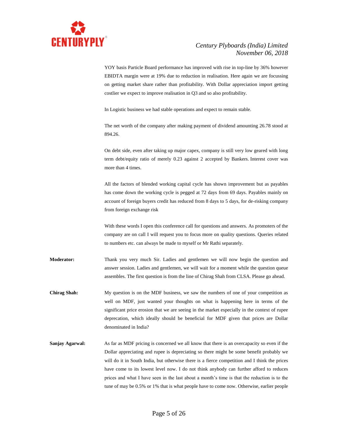

YOY basis Particle Board performance has improved with rise in top-line by 36% however EBIDTA margin were at 19% due to reduction in realisation. Here again we are focussing on getting market share rather than profitability. With Dollar appreciation import getting costlier we expect to improve realisation in Q3 and so also profitability.

In Logistic business we had stable operations and expect to remain stable.

The net worth of the company after making payment of dividend amounting 26.78 stood at 894.26.

On debt side, even after taking up major capex, company is still very low geared with long term debt/equity ratio of merely 0.23 against 2 accepted by Bankers. Interest cover was more than 4 times.

All the factors of blended working capital cycle has shown improvement but as payables has come down the working cycle is pegged at 72 days from 69 days. Payables mainly on account of foreign buyers credit has reduced from 8 days to 5 days, for de-risking company from foreign exchange risk

With these words I open this conference call for questions and answers. As promoters of the company are on call I will request you to focus more on quality questions. Queries related to numbers etc. can always be made to myself or Mr Rathi separately.

- **Moderator:** Thank you very much Sir. Ladies and gentlemen we will now begin the question and answer session. Ladies and gentlemen, we will wait for a moment while the question queue assembles. The first question is from the line of Chirag Shah from CLSA. Please go ahead.
- **Chirag Shah:** My question is on the MDF business, we saw the numbers of one of your competition as well on MDF, just wanted your thoughts on what is happening here in terms of the significant price erosion that we are seeing in the market especially in the context of rupee deprecation, which ideally should be beneficial for MDF given that prices are Dollar denominated in India?
- **Sanjay Agarwal:** As far as MDF pricing is concerned we all know that there is an overcapacity so even if the Dollar appreciating and rupee is depreciating so there might be some benefit probably we will do it in South India, but otherwise there is a fierce competition and I think the prices have come to its lowest level now. I do not think anybody can further afford to reduces prices and what I have seen in the last about a month's time is that the reduction is to the tune of may be 0.5% or 1% that is what people have to come now. Otherwise, earlier people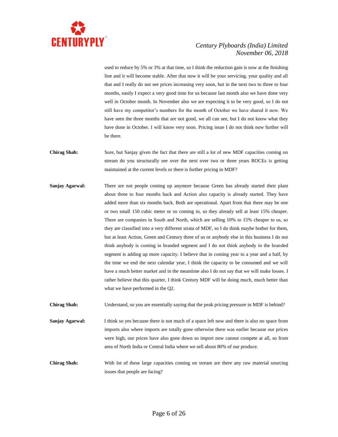

used to reduce by 5% or 3% at that time, so I think the reduction gain is now at the finishing line and it will become stable. After that now it will be your servicing, your quality and all that and I really do not see prices increasing very soon, but in the next two to three to four months, easily I expect a very good time for us because last month also we have done very well in October month. In November also we are expecting it to be very good, so I do not still have my competitor's numbers for the month of October we have shared it now. We have seen the three months that are not good, we all can see, but I do not know what they have done in October. I will know very soon. Pricing issue I do not think now further will be there.

- **Chirag Shah:** Sure, but Sanjay given the fact that there are still a lot of new MDF capacities coming on stream do you structurally see over the next over two or three years ROCEs is getting maintained at the current levels or there is further pricing in MDF?
- **Sanjay Agarwal:** There are not people coming up anymore because Green has already started their plant about three to four months back and Action also capacity is already started. They have added more than six months back. Both are operational. Apart from that there may be one or two small 150 cubic meter or so coming in, so they already sell at least 15% cheaper. There are companies in South and North, which are selling 10% to 15% cheaper to us, so they are classified into a very different strata of MDF, so I do think maybe bother for them, but at least Action, Green and Century three of us or anybody else in this business I do not think anybody is coming in branded segment and I do not think anybody in the branded segment is adding up more capacity. I believe that in coming year to a year and a half, by the time we end the next calendar year, I think the capacity to be consumed and we will have a much better market and in the meantime also I do not say that we will make losses. I rather believe that this quarter, I think Century MDF will be doing much, much better than what we have performed in the Q2.

**Chirag Shah:** Understand, so you are essentially saying that the peak pricing pressure in MDF is behind?

**Sanjay Agarwal:** I think so yes because there is not much of a space left now and there is also no space from imports also where imports are totally gone otherwise there was earlier because our prices were high, our prices have also gone down so import now cannot compete at all, so from area of North India or Central India where we sell about 80% of our produce.

**Chirag Shah:** With lot of these large capacities coming on stream are there any raw material sourcing issues that people are facing?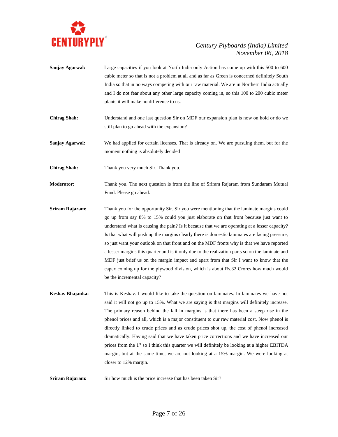

- **Sanjay Agarwal:** Large capacities if you look at North India only Action has come up with this 500 to 600 cubic meter so that is not a problem at all and as far as Green is concerned definitely South India so that in no ways competing with our raw material. We are in Northern India actually and I do not fear about any other large capacity coming in, so this 100 to 200 cubic meter plants it will make no difference to us.
- **Chirag Shah:** Understand and one last question Sir on MDF our expansion plan is now on hold or do we still plan to go ahead with the expansion?
- **Sanjay Agarwal:** We had applied for certain licenses. That is already on. We are pursuing them, but for the moment nothing is absolutely decided
- **Chirag Shah:** Thank you very much Sir. Thank you.
- **Moderator:** Thank you. The next question is from the line of Sriram Rajaram from Sundaram Mutual Fund. Please go ahead.
- **Sriram Rajaram:** Thank you for the opportunity Sir. Sir you were mentioning that the laminate margins could go up from say 8% to 15% could you just elaborate on that front because just want to understand what is causing the pain? Is it because that we are operating at a lesser capacity? Is that what will push up the margins clearly there is domestic laminates are facing pressure, so just want your outlook on that front and on the MDF fronts why is that we have reported a lesser margins this quarter and is it only due to the realization parts so on the laminate and MDF just brief us on the margin impact and apart from that Sir I want to know that the capex coming up for the plywood division, which is about Rs.32 Crores how much would be the incremental capacity?
- **Keshav Bhajanka:** This is Keshav. I would like to take the question on laminates. In laminates we have not said it will not go up to 15%. What we are saying is that margins will definitely increase. The primary reason behind the fall in margins is that there has been a steep rise in the phenol prices and all, which is a major constituent to our raw material cost. Now phenol is directly linked to crude prices and as crude prices shot up, the cost of phenol increased dramatically. Having said that we have taken price corrections and we have increased our prices from the 1<sup>st</sup> so I think this quarter we will definitely be looking at a higher EBITDA margin, but at the same time, we are not looking at a 15% margin. We were looking at closer to 12% margin.
- **Sriram Rajaram:** Sir how much is the price increase that has been taken Sir?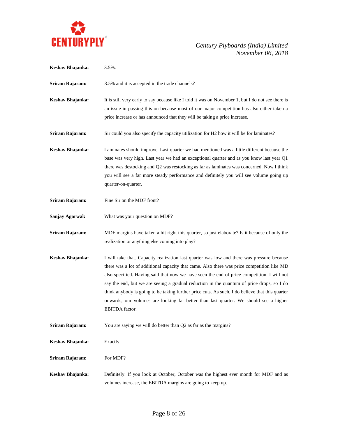

| Keshav Bhajanka: | $3.5\%$ .                                                                                                                                                                                                                                                                                                                                                                                                                                                                                                                                                                                                |
|------------------|----------------------------------------------------------------------------------------------------------------------------------------------------------------------------------------------------------------------------------------------------------------------------------------------------------------------------------------------------------------------------------------------------------------------------------------------------------------------------------------------------------------------------------------------------------------------------------------------------------|
| Sriram Rajaram:  | 3.5% and it is accepted in the trade channels?                                                                                                                                                                                                                                                                                                                                                                                                                                                                                                                                                           |
| Keshav Bhajanka: | It is still very early to say because like I told it was on November 1, but I do not see there is<br>an issue in passing this on because most of our major competition has also either taken a<br>price increase or has announced that they will be taking a price increase.                                                                                                                                                                                                                                                                                                                             |
| Sriram Rajaram:  | Sir could you also specify the capacity utilization for H2 how it will be for laminates?                                                                                                                                                                                                                                                                                                                                                                                                                                                                                                                 |
| Keshav Bhajanka: | Laminates should improve. Last quarter we had mentioned was a little different because the<br>base was very high. Last year we had an exceptional quarter and as you know last year Q1<br>there was destocking and Q2 was restocking as far as laminates was concerned. Now I think<br>you will see a far more steady performance and definitely you will see volume going up<br>quarter-on-quarter.                                                                                                                                                                                                     |
| Sriram Rajaram:  | Fine Sir on the MDF front?                                                                                                                                                                                                                                                                                                                                                                                                                                                                                                                                                                               |
| Sanjay Agarwal:  | What was your question on MDF?                                                                                                                                                                                                                                                                                                                                                                                                                                                                                                                                                                           |
| Sriram Rajaram:  | MDF margins have taken a hit right this quarter, so just elaborate? Is it because of only the<br>realization or anything else coming into play?                                                                                                                                                                                                                                                                                                                                                                                                                                                          |
| Keshav Bhajanka: | I will take that. Capacity realization last quarter was low and there was pressure because<br>there was a lot of additional capacity that came. Also there was price competition like MD<br>also specified. Having said that now we have seen the end of price competition. I will not<br>say the end, but we are seeing a gradual reduction in the quantum of price drops, so I do<br>think anybody is going to be taking further price cuts. As such, I do believe that this quarter<br>onwards, our volumes are looking far better than last quarter. We should see a higher<br><b>EBITDA</b> factor. |
| Sriram Rajaram:  | You are saying we will do better than Q2 as far as the margins?                                                                                                                                                                                                                                                                                                                                                                                                                                                                                                                                          |
| Keshav Bhajanka: | Exactly.                                                                                                                                                                                                                                                                                                                                                                                                                                                                                                                                                                                                 |
| Sriram Rajaram:  | For MDF?                                                                                                                                                                                                                                                                                                                                                                                                                                                                                                                                                                                                 |
| Keshav Bhajanka: | Definitely. If you look at October, October was the highest ever month for MDF and as<br>volumes increase, the EBITDA margins are going to keep up.                                                                                                                                                                                                                                                                                                                                                                                                                                                      |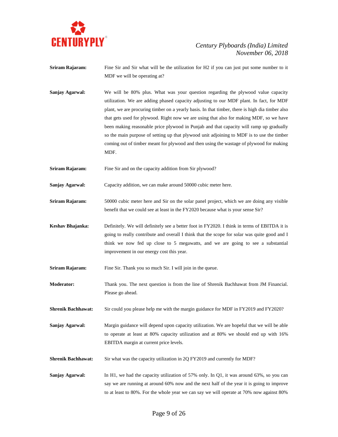

- **Sriram Rajaram:** Fine Sir and Sir what will be the utilization for H2 if you can just put some number to it MDF we will be operating at?
- **Sanjay Agarwal:** We will be 80% plus. What was your question regarding the plywood value capacity utilization. We are adding phased capacity adjusting to our MDF plant. In fact, for MDF plant, we are procuring timber on a yearly basis. In that timber, there is high dia timber also that gets used for plywood. Right now we are using that also for making MDF, so we have been making reasonable price plywood in Punjab and that capacity will ramp up gradually so the main purpose of setting up that plywood unit adjoining to MDF is to use the timber coming out of timber meant for plywood and then using the wastage of plywood for making MDF.
- **Sriram Rajaram:** Fine Sir and on the capacity addition from Sir plywood?

**Sanjay Agarwal:** Capacity addition, we can make around 50000 cubic meter here.

- **Sriram Rajaram:** 50000 cubic meter here and Sir on the solar panel project, which we are doing any visible benefit that we could see at least in the FY2020 because what is your sense Sir?
- **Keshav Bhajanka:** Definitely. We will definitely see a better foot in FY2020. I think in terms of EBITDA it is going to really contribute and overall I think that the scope for solar was quite good and I think we now fed up close to 5 megawatts, and we are going to see a substantial improvement in our energy cost this year.

**Sriram Rajaram:** Fine Sir. Thank you so much Sir. I will join in the queue.

**Moderator:** Thank you. The next question is from the line of Shrenik Bachhawat from JM Financial. Please go ahead.

**Shrenik Bachhawat:** Sir could you please help me with the margin guidance for MDF in FY2019 and FY2020?

**Sanjay Agarwal:** Margin guidance will depend upon capacity utilization. We are hopeful that we will be able to operate at least at 80% capacity utilization and at 80% we should end up with 16% EBITDA margin at current price levels.

- **Shrenik Bachhawat:** Sir what was the capacity utilization in 2Q FY2019 and currently for MDF?
- **Sanjay Agarwal:** In H1, we had the capacity utilization of 57% only. In Q1, it was around 63%, so you can say we are running at around 60% now and the next half of the year it is going to improve to at least to 80%. For the whole year we can say we will operate at 70% now against 80%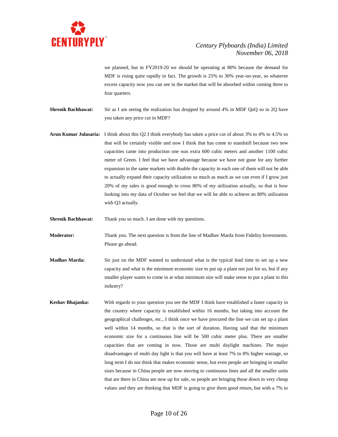

we planned, but in FY2019-20 we should be operating at 80% because the demand for MDF is rising quite rapidly in fact. The growth is 25% to 30% year-on-year, so whatever excess capacity now you can see in the market that will be absorbed within coming three to four quarters.

**Shrenik Bachhawat:** Sir as I am seeing the realization has dropped by around 4% in MDF QoQ so in 2Q have you taken any price cut in MDF?

**Arun Kumar Julasaria:** I think about this Q2 I think everybody has taken a price cut of about 3% to 4% to 4.5% so that will be certainly visible and now I think that has come to standstill because two new capacities came into production one was extra 600 cubic meters and another 1100 cubic meter of Green. I feel that we have advantage because we have not gone for any further expansion in the same markets with double the capacity in each one of them will not be able to actually expand their capacity utilization so much as much as we can even if I grow just 20% of my sales is good enough to cross 80% of my utilization actually, so that is how looking into my data of October we feel that we will be able to achieve an 80% utilization with Q3 actually.

**Shrenik Bachhawat:** Thank you so much. I am done with my questions.

**Moderator:** Thank you. The next question is from the line of Madhav Marda from Fidelity Investments. Please go ahead.

- **Madhav Marda:** Sir just on the MDF wanted to understand what is the typical lead time to set up a new capacity and what is the minimum economic size to put up a plant not just for us, but if any smaller player wants to come in at what minimum size will make sense to put a plant in this industry?
- **Keshav Bhajanka:** With regards to your question you see the MDF I think have established a faster capacity in the country where capacity is established within 16 months, but taking into account the geographical challenges, etc., I think once we have procured the line we can set up a plant well within 14 months, so that is the sort of duration. Having said that the minimum economic size for a continuous line will be 500 cubic meter plus. There are smaller capacities that are coming in now. Those are multi daylight machines. The major disadvantages of multi day light is that you will have at least 7% to 8% higher wastage, so long term I do not think that makes economic sense, but even people are bringing in smaller sizes because in China people are now moving to continuous lines and all the smaller units that are there in China are now up for sale, so people are bringing those down in very cheap values and they are thinking that MDF is going to give them good return, but with a 7% to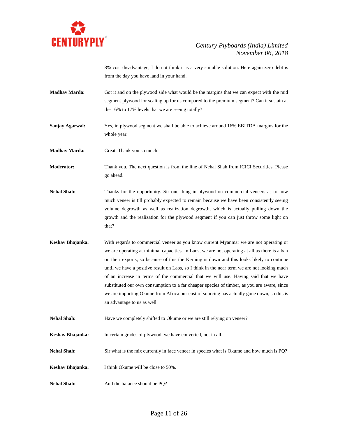

8% cost disadvantage, I do not think it is a very suitable solution. Here again zero debt is from the day you have land in your hand.

- **Madhav Marda:** Got it and on the plywood side what would be the margins that we can expect with the mid segment plywood for scaling up for us compared to the premium segment? Can it sustain at the 16% to 17% levels that we are seeing totally?
- **Sanjay Agarwal:** Yes, in plywood segment we shall be able to achieve around 16% EBITDA margins for the whole year.

**Madhav Marda:** Great. Thank you so much.

**Moderator:** Thank you. The next question is from the line of Nehal Shah from ICICI Securities. Please go ahead.

- **Nehal Shah:** Thanks for the opportunity. Sir one thing in plywood on commercial veneers as to how much veneer is till probably expected to remain because we have been consistently seeing volume degrowth as well as realization degrowth, which is actually pulling down the growth and the realization for the plywood segment if you can just throw some light on that?
- **Keshav Bhajanka:** With regards to commercial veneer as you know current Myanmar we are not operating or we are operating at minimal capacities. In Laos, we are not operating at all as there is a ban on their exports, so because of this the Keruing is down and this looks likely to continue until we have a positive result on Laos, so I think in the near term we are not looking much of an increase in terms of the commercial that we will use. Having said that we have substituted our own consumption to a far cheaper species of timber, as you are aware, since we are importing Okume from Africa our cost of sourcing has actually gone down, so this is an advantage to us as well.
- Nehal Shah: Have we completely shifted to Okume or we are still relying on veneer?

**Keshav Bhajanka:** In certain grades of plywood, we have converted, not in all.

**Nehal Shah:** Sir what is the mix currently in face veneer in species what is Okume and how much is PQ?

- **Keshav Bhajanka:** I think Okume will be close to 50%.
- Nehal Shah: And the balance should be PQ?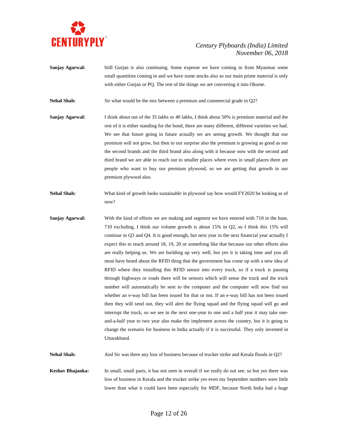

**Sanjay Agarwal:** Still Gurjan is also continuing. Some expense we have coming in from Myanmar some small quantities coming in and we have some stocks also so our main prime material is only with either Gurjan or PQ. The rest of the things we are converting it into Okume.

**Nehal Shah:** Sir what would be the mix between a premium and commercial grade in Q2?

- **Sanjay Agarwal:** I think about out of the 35 lakhs or 40 lakhs, I think about 50% is premium material and the rest of it is either standing for the bond, there are many different, different varieties we had. We see that future going in future actually we are seeing growth. We thought that our premium will not grow, but then to our surprise also the premium is growing as good as our the second brands and the third brand also along with it because now with the second and third brand we are able to reach out to smaller places where even in small places there are people who want to buy our premium plywood, so we are getting that growth in our premium plywood also.
- **Nehal Shah:** What kind of growth looks sustainable in plywood say how would FY2020 be looking as of now?
- **Sanjay Agarwal:** With the kind of efforts we are making and segment we have entered with 710 in the base, 710 excluding, I think our volume growth is about 15% in Q2, so I think this 15% will continue in Q3 and Q4. It is good enough, but next year in the next financial year actually I expect this to reach around 18, 19, 20 or something like that because our other efforts also are really helping us. We are building up very well, but yes it is taking time and you all must have heard about the RFID thing that the government has come up with a new idea of RFID where they installing this RFID sensor into every truck, so if a truck is passing through highways or roads there will be sensors which will sense the truck and the truck number will automatically be sent to the computer and the computer will now find out whether an e-way bill has been issued for that or not. If an e-way bill has not been issued then they will send out, they will alert the flying squad and the flying squad will go and interrupt the truck, so we see in the next one-year to one and a half year it may take oneand-a-half year to two year also make the implement across the country, but it is going to change the scenario for business in India actually if it is successful. They only invented in Uttarakhand.

Nehal Shah: And Sir was there any loss of business because of trucker strike and Kerala floods in Q2?

**Keshav Bhajanka:** In small, small parts, it has not seen in overall if we really do not see, so but yes there was loss of business in Kerala and the trucker strike yes even my September numbers were little lower than what it could have been especially for MDF, because North India had a huge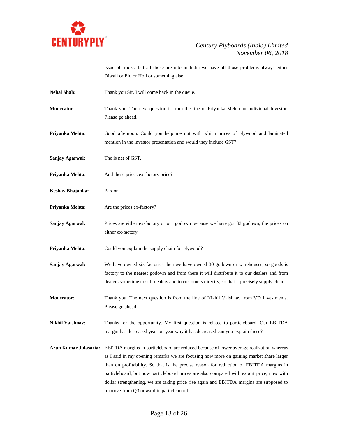

issue of trucks, but all those are into in India we have all those problems always either Diwali or Eid or Holi or something else.

- Nehal Shah: Thank you Sir. I will come back in the queue.
- **Moderator**: Thank you. The next question is from the line of Priyanka Mehta an Individual Investor. Please go ahead.
- **Priyanka Mehta**: Good afternoon. Could you help me out with which prices of plywood and laminated mention in the investor presentation and would they include GST?
- **Sanjay Agarwal:** The is net of GST.
- **Priyanka Mehta:** And these prices ex-factory price?
- **Keshav Bhajanka:** Pardon.
- **Priyanka Mehta:** Are the prices ex-factory?
- **Sanjay Agarwal:** Prices are either ex-factory or our godown because we have got 33 godown, the prices on either ex-factory.
- **Priyanka Mehta:** Could you explain the supply chain for plywood?
- **Sanjay Agarwal:** We have owned six factories then we have owned 30 godown or warehouses, so goods is factory to the nearest godown and from there it will distribute it to our dealers and from dealers sometime to sub-dealers and to customers directly, so that it precisely supply chain.
- **Moderator**: Thank you. The next question is from the line of Nikhil Vaishnav from VD Investments. Please go ahead.
- **Nikhil Vaishnav**: Thanks for the opportunity. My first question is related to particleboard. Our EBITDA margin has decreased year-on-year why it has decreased can you explain these?
- **Arun Kumar Julasaria:** EBITDA margins in particleboard are reduced because of lower average realization whereas as I said in my opening remarks we are focusing now more on gaining market share larger than on profitability. So that is the precise reason for reduction of EBITDA margins in particleboard, but now particleboard prices are also compared with export price, now with dollar strengthening, we are taking price rise again and EBITDA margins are supposed to improve from Q3 onward in particleboard.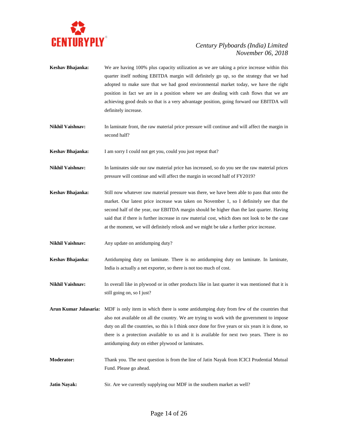

- **Keshav Bhajanka:** We are having 100% plus capacity utilization as we are taking a price increase within this quarter itself nothing EBITDA margin will definitely go up, so the strategy that we had adopted to make sure that we had good environmental market today, we have the right position in fact we are in a position where we are dealing with cash flows that we are achieving good deals so that is a very advantage position, going forward our EBITDA will definitely increase.
- **Nikhil Vaishnav:** In laminate front, the raw material price pressure will continue and will affect the margin in second half?

**Keshav Bhajanka:** I am sorry I could not get you, could you just repeat that?

- **Nikhil Vaishnav:** In laminates side our raw material price has increased, so do you see the raw material prices pressure will continue and will affect the margin in second half of FY2019?
- **Keshav Bhajanka:** Still now whatever raw material pressure was there, we have been able to pass that onto the market. Our latest price increase was taken on November 1, so I definitely see that the second half of the year, our EBITDA margin should be higher than the last quarter. Having said that if there is further increase in raw material cost, which does not look to be the case at the moment, we will definitely relook and we might be take a further price increase.
- **Nikhil Vaishnav:** Any update on antidumping duty?
- **Keshav Bhajanka:** Antidumping duty on laminate. There is no antidumping duty on laminate. In laminate, India is actually a net exporter, so there is not too much of cost.
- **Nikhil Vaishnav:** In overall like in plywood or in other products like in last quarter it was mentioned that it is still going on, so I just?
- **Arun Kumar Julasaria:** MDF is only item in which there is some antidumping duty from few of the countries that also not available on all the country. We are trying to work with the government to impose duty on all the countries, so this is I think once done for five years or six years it is done, so there is a protection available to us and it is available for next two years. There is no antidumping duty on either plywood or laminates.
- **Moderator:** Thank you. The next question is from the line of Jatin Nayak from ICICI Prudential Mutual Fund. Please go ahead.
- **Jatin Nayak:** Sir. Are we currently supplying our MDF in the southern market as well?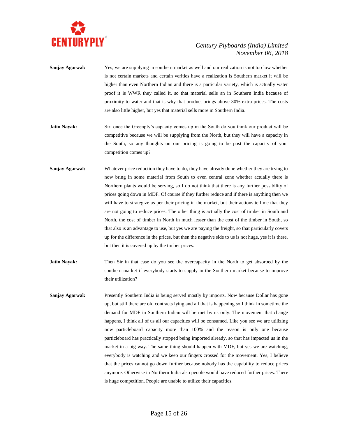

- **Sanjay Agarwal:** Yes, we are supplying in southern market as well and our realization is not too low whether is not certain markets and certain verities have a realization is Southern market it will be higher than even Northern Indian and there is a particular variety, which is actually water proof it is WWR they called it, so that material sells an in Southern India because of proximity to water and that is why that product brings above 30% extra prices. The costs are also little higher, but yes that material sells more in Southern India.
- **Jatin Nayak:** Sir, once the Greenply's capacity comes up in the South do you think our product will be competitive because we will be supplying from the North, but they will have a capacity in the South, so any thoughts on our pricing is going to be post the capacity of your competition comes up?
- Sanjay Agarwal: Whatever price reduction they have to do, they have already done whether they are trying to now bring in some material from South to even central zone whether actually there is Northern plants would be serving, so I do not think that there is any further possibility of prices going down in MDF. Of course if they further reduce and if there is anything then we will have to strategize as per their pricing in the market, but their actions tell me that they are not going to reduce prices. The other thing is actually the cost of timber in South and North, the cost of timber in North in much lesser than the cost of the timber in South, so that also is an advantage to use, but yes we are paying the freight, so that particularly covers up for the difference in the prices, but then the negative side to us is not huge, yes it is there, but then it is covered up by the timber prices.
- **Jatin Nayak:** Then Sir in that case do you see the overcapacity in the North to get absorbed by the southern market if everybody starts to supply in the Southern market because to improve their utilization?
- **Sanjay Agarwal:** Presently Southern India is being served mostly by imports. Now because Dollar has gone up, but still there are old contracts lying and all that is happening so I think in sometime the demand for MDF in Southern Indian will be met by us only. The movement that change happens, I think all of us all our capacities will be consumed. Like you see we are utilizing now particleboard capacity more than 100% and the reason is only one because particleboard has practically stopped being imported already, so that has impacted us in the market in a big way. The same thing should happen with MDF, but yes we are watching, everybody is watching and we keep our fingers crossed for the movement. Yes, I believe that the prices cannot go down further because nobody has the capability to reduce prices anymore. Otherwise in Northern India also people would have reduced further prices. There is huge competition. People are unable to utilize their capacities.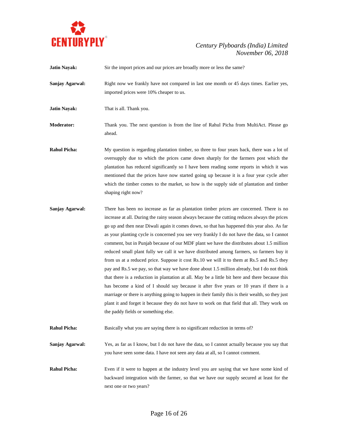

| <b>Jatin Nayak:</b> | Sir the import prices and our prices are broadly more or less the same?                                                                                                                                                                                                                                                                                                                                                                                                                                                                                                                                                                                                                                                                                                                                                                                                                                                                                                                                                                                                                                                                                                                                                  |
|---------------------|--------------------------------------------------------------------------------------------------------------------------------------------------------------------------------------------------------------------------------------------------------------------------------------------------------------------------------------------------------------------------------------------------------------------------------------------------------------------------------------------------------------------------------------------------------------------------------------------------------------------------------------------------------------------------------------------------------------------------------------------------------------------------------------------------------------------------------------------------------------------------------------------------------------------------------------------------------------------------------------------------------------------------------------------------------------------------------------------------------------------------------------------------------------------------------------------------------------------------|
| Sanjay Agarwal:     | Right now we frankly have not compared in last one month or 45 days times. Earlier yes,<br>imported prices were 10% cheaper to us.                                                                                                                                                                                                                                                                                                                                                                                                                                                                                                                                                                                                                                                                                                                                                                                                                                                                                                                                                                                                                                                                                       |
| <b>Jatin Nayak:</b> | That is all. Thank you.                                                                                                                                                                                                                                                                                                                                                                                                                                                                                                                                                                                                                                                                                                                                                                                                                                                                                                                                                                                                                                                                                                                                                                                                  |
| <b>Moderator:</b>   | Thank you. The next question is from the line of Rahul Picha from MultiAct. Please go<br>ahead.                                                                                                                                                                                                                                                                                                                                                                                                                                                                                                                                                                                                                                                                                                                                                                                                                                                                                                                                                                                                                                                                                                                          |
| <b>Rahul Picha:</b> | My question is regarding plantation timber, so three to four years back, there was a lot of<br>oversupply due to which the prices came down sharply for the farmers post which the<br>plantation has reduced significantly so I have been reading some reports in which it was<br>mentioned that the prices have now started going up because it is a four year cycle after<br>which the timber comes to the market, so how is the supply side of plantation and timber<br>shaping right now?                                                                                                                                                                                                                                                                                                                                                                                                                                                                                                                                                                                                                                                                                                                            |
| Sanjay Agarwal:     | There has been no increase as far as plantation timber prices are concerned. There is no<br>increase at all. During the rainy season always because the cutting reduces always the prices<br>go up and then near Diwali again it comes down, so that has happened this year also. As far<br>as your planting cycle is concerned you see very frankly I do not have the data, so I cannot<br>comment, but in Punjab because of our MDF plant we have the distributes about 1.5 million<br>reduced small plant fully we call it we have distributed among farmers, so farmers buy it<br>from us at a reduced price. Suppose it cost Rs.10 we will it to them at Rs.5 and Rs.5 they<br>pay and Rs.5 we pay, so that way we have done about 1.5 million already, but I do not think<br>that there is a reduction in plantation at all. May be a little bit here and there because this<br>has become a kind of I should say because it after five years or 10 years if there is a<br>marriage or there is anything going to happen in their family this is their wealth, so they just<br>plant it and forget it because they do not have to work on that field that all. They work on<br>the paddy fields or something else. |
| <b>Rahul Picha:</b> | Basically what you are saying there is no significant reduction in terms of?                                                                                                                                                                                                                                                                                                                                                                                                                                                                                                                                                                                                                                                                                                                                                                                                                                                                                                                                                                                                                                                                                                                                             |
| Sanjay Agarwal:     | Yes, as far as I know, but I do not have the data, so I cannot actually because you say that<br>you have seen some data. I have not seen any data at all, so I cannot comment.                                                                                                                                                                                                                                                                                                                                                                                                                                                                                                                                                                                                                                                                                                                                                                                                                                                                                                                                                                                                                                           |
| <b>Rahul Picha:</b> | Even if it were to happen at the industry level you are saying that we have some kind of<br>backward integration with the farmer, so that we have our supply secured at least for the<br>next one or two years?                                                                                                                                                                                                                                                                                                                                                                                                                                                                                                                                                                                                                                                                                                                                                                                                                                                                                                                                                                                                          |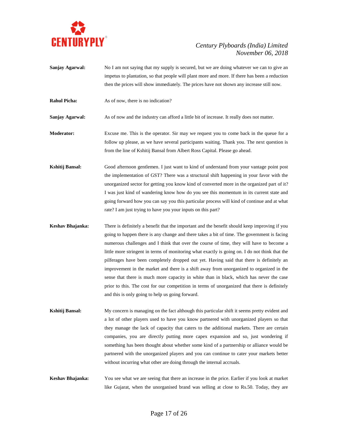

- **Sanjay Agarwal:** No I am not saying that my supply is secured, but we are doing whatever we can to give an impetus to plantation, so that people will plant more and more. If there has been a reduction then the prices will show immediately. The prices have not shown any increase still now.
- **Rahul Picha:** As of now, there is no indication?

**Sanjay Agarwal:** As of now and the industry can afford a little bit of increase. It really does not matter.

- **Moderator:** Excuse me. This is the operator. Sir may we request you to come back in the queue for a follow up please, as we have several participants waiting. Thank you. The next question is from the line of Kshitij Bansal from Albert Ross Capital. Please go ahead.
- **Kshitij Bansal:** Good afternoon gentlemen. I just want to kind of understand from your vantage point post the implementation of GST? There was a structural shift happening in your favor with the unorganized sector for getting you know kind of converted more in the organized part of it? I was just kind of wandering know how do you see this momentum in its current state and going forward how you can say you this particular process will kind of continue and at what rate? I am just trying to have you your inputs on this part?
- **Keshav Bhajanka:** There is definitely a benefit that the important and the benefit should keep improving if you going to happen there is any change and there takes a bit of time. The government is facing numerous challenges and I think that over the course of time, they will have to become a little more stringent in terms of monitoring what exactly is going on. I do not think that the pilferages have been completely dropped out yet. Having said that there is definitely an improvement in the market and there is a shift away from unorganized to organized in the sense that there is much more capacity in white than in black, which has never the case prior to this. The cost for our competition in terms of unorganized that there is definitely and this is only going to help us going forward.
- **Kshitij Bansal:** My concern is managing on the fact although this particular shift it seems pretty evident and a lot of other players used to have you know partnered with unorganized players so that they manage the lack of capacity that caters to the additional markets. There are certain companies, you are directly putting more capex expansion and so, just wondering if something has been thought about whether some kind of a partnership or alliance would be partnered with the unorganized players and you can continue to cater your markets better without incurring what other are doing through the internal accruals.
- **Keshav Bhajanka:** You see what we are seeing that there an increase in the price. Earlier if you look at market like Gujarat, when the unorganised brand was selling at close to Rs.50. Today, they are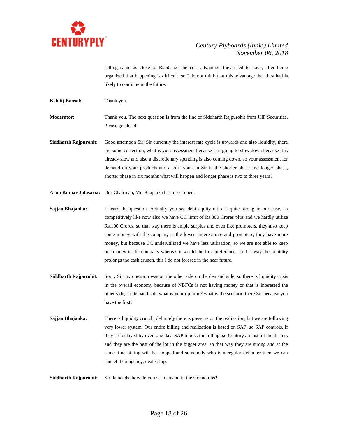

selling same as close to Rs.60, so the cost advantage they used to have, after being organized that happening is difficult, so I do not think that this advantage that they had is likely to continue in the future.

**Kshitij Bansal:** Thank you.

**Moderator:** Thank you. The next question is from the line of Siddharth Rajpurohit from JHP Securities. Please go ahead.

Siddharth Rajpurohit: Good afternoon Sir. Sir currently the interest rate cycle is upwards and also liquidity, there are some correction, what is your assessment because is it going to slow down because it is already slow and also a discretionary spending is also coming down, so your assessment for demand on your products and also if you can Sir in the shorter phase and longer phase, shorter phase in six months what will happen and longer phase is two to three years?

**Arun Kumar Julasaria:** Our Chairman, Mr. Bhajanka has also joined.

**Sajjan Bhajanka:** I heard the question. Actually you see debt equity ratio is quite strong in our case, so competitively like now also we have CC limit of Rs.300 Crores plus and we hardly utilize Rs.100 Crores, so that way there is ample surplus and even like promoters, they also keep some money with the company at the lowest interest rate and promoters, they have more money, but because CC underutilized we have less utilisation, so we are not able to keep our money in the company whereas it would the first preference, so that way the liquidity prolongs the cash crunch, this I do not foresee in the near future.

- **Siddharth Rajpurohit:** Sorry Sir my question was on the other side on the demand side, so there is liquidity crisis in the overall economy because of NBFCs is not having money or that is interested the other side, so demand side what is your opinion? what is the scenario there Sir because you have the first?
- **Sajjan Bhajanka:** There is liquidity crunch, definitely there is pressure on the realization, but we are following very lower system. Our entire billing and realization is based on SAP, so SAP controls, if they are delayed by even one day, SAP blocks the billing, so Century almost all the dealers and they are the best of the lot in the bigger area, so that way they are strong and at the same time billing will be stopped and somebody who is a regular defaulter then we can cancel their agency, dealership.

**Siddharth Rajpurohit:** Sir demands, how do you see demand in the six months?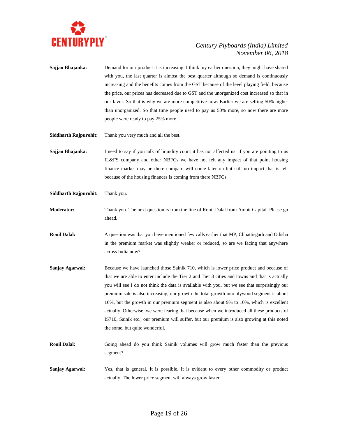

- **Sajjan Bhajanka:** Demand for our product it is increasing. I think my earlier question, they might have shared with you, the last quarter is almost the best quarter although so demand is continuously increasing and the benefits comes from the GST because of the level playing field, because the price, our prices has decreased due to GST and the unorganized cost increased so that in our favor. So that is why we are more competitive now. Earlier we are selling 50% higher than unorganized. So that time people used to pay us 50% more, so now there are more people were ready to pay 25% more.
- **Siddharth Rajpurohit:** Thank you very much and all the best.
- **Sajjan Bhajanka:** I need to say if you talk of liquidity count it has not affected us. if you are pointing to us IL&FS company and other NBFCs we have not felt any impact of that point housing finance market may be there compare will come later on but still no impact that is felt because of the housing finances is coming from there NBFCs.
- **Siddharth Rajpurohit:** Thank you.
- **Moderator:** Thank you. The next question is from the line of Ronil Dalal from Ambit Capital. Please go ahead.
- **Ronil Dalal:** A question was that you have mentioned few calls earlier that MP, Chhattisgarh and Odisha in the premium market was slightly weaker or reduced, so are we facing that anywhere across India now?
- **Sanjay Agarwal:** Because we have launched those Sainik 710, which is lower price product and because of that we are able to enter include the Tier 2 and Tier 3 cities and towns and that is actually you will see I do not think the data is available with you, but we see that surprisingly our premium sale is also increasing, our growth the total growth into plywood segment is about 16%, but the growth in our premium segment is also about 9% to 10%, which is excellent actually. Otherwise, we were fearing that because when we introduced all these products of IS710, Sainik etc., our premium will suffer, but our premium is also growing at this noted the some, but quite wonderful.
- **Ronil Dalal:** Going ahead do you think Sainik volumes will grow much faster than the previous segment?
- **Sanjay Agarwal:** Yes, that is general. It is possible. It is evident to every other commodity or product actually. The lower price segment will always grow faster.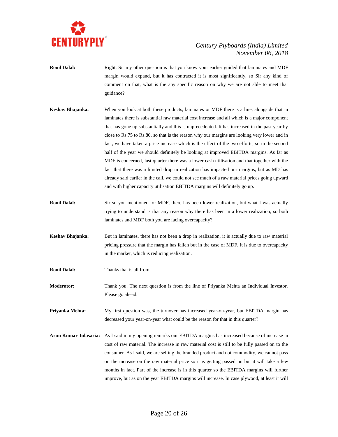

- **Ronil Dalal:** Right. Sir my other question is that you know your earlier guided that laminates and MDF margin would expand, but it has contracted it is most significantly, so Sir any kind of comment on that, what is the any specific reason on why we are not able to meet that guidance?
- **Keshav Bhajanka:** When you look at both these products, laminates or MDF there is a line, alongside that in laminates there is substantial raw material cost increase and all which is a major component that has gone up substantially and this is unprecedented. It has increased in the past year by close to Rs.75 to Rs.80, so that is the reason why our margins are looking very lower and in fact, we have taken a price increase which is the effect of the two efforts, so in the second half of the year we should definitely be looking at improved EBITDA margins. As far as MDF is concerned, last quarter there was a lower cash utilisation and that together with the fact that there was a limited drop in realization has impacted our margins, but as MD has already said earlier in the call, we could not see much of a raw material prices going upward and with higher capacity utilisation EBITDA margins will definitely go up.
- **Ronil Dalal:** Sir so you mentioned for MDF, there has been lower realization, but what I was actually trying to understand is that any reason why there has been in a lower realization, so both laminates and MDF both you are facing overcapacity?
- **Keshav Bhajanka:** But in laminates, there has not been a drop in realization, it is actually due to raw material pricing pressure that the margin has fallen but in the case of MDF, it is due to overcapacity in the market, which is reducing realization.
- **Ronil Dalal:** Thanks that is all from.
- **Moderator:** Thank you. The next question is from the line of Priyanka Mehta an Individual Investor. Please go ahead.

**Priyanka Mehta:** My first question was, the turnover has increased year-on-year, but EBITDA margin has decreased your year-on-year what could be the reason for that in this quarter?

**Arun Kumar Julasaria:** As I said in my opening remarks our EBITDA margins has increased because of increase in cost of raw material. The increase in raw material cost is still to be fully passed on to the consumer. As I said, we are selling the branded product and not commodity, we cannot pass on the increase on the raw material price so it is getting passed on but it will take a few months in fact. Part of the increase is in this quarter so the EBITDA margins will further improve, but as on the year EBITDA margins will increase. In case plywood, at least it will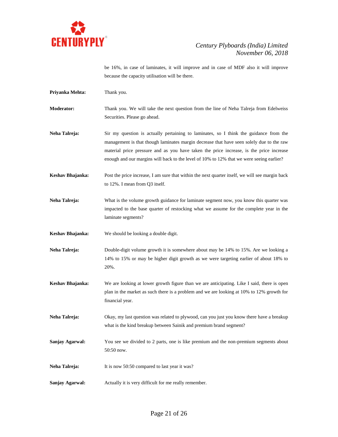

be 16%, in case of laminates, it will improve and in case of MDF also it will improve because the capacity utilisation will be there.

- **Priyanka Mehta:** Thank you.
- **Moderator:** Thank you. We will take the next question from the line of Neha Talreja from Edelweiss Securities. Please go ahead.
- **Neha Talreja:** Sir my question is actually pertaining to laminates, so I think the guidance from the management is that though laminates margin decrease that have seen solely due to the raw material price pressure and as you have taken the price increase, is the price increase enough and our margins will back to the level of 10% to 12% that we were seeing earlier?
- **Keshav Bhajanka:** Post the price increase, I am sure that within the next quarter itself, we will see margin back to 12%. I mean from Q3 itself.
- **Neha Talreja:** What is the volume growth guidance for laminate segment now, you know this quarter was impacted to the base quarter of restocking what we assume for the complete year in the laminate segments?
- **Keshav Bhajanka:** We should be looking a double digit.
- **Neha Talreja:** Double-digit volume growth it is somewhere about may be 14% to 15%. Are we looking a 14% to 15% or may be higher digit growth as we were targeting earlier of about 18% to 20%.
- **Keshav Bhajanka:** We are looking at lower growth figure than we are anticipating. Like I said, there is open plan in the market as such there is a problem and we are looking at 10% to 12% growth for financial year.
- **Neha Talreja:** Okay, my last question was related to plywood, can you just you know there have a breakup what is the kind breakup between Sainik and premium brand segment?
- **Sanjay Agarwal:** You see we divided to 2 parts, one is like premium and the non-premium segments about 50:50 now.
- **Neha Talreja:** It is now 50:50 compared to last year it was?
- **Sanjay Agarwal:** Actually it is very difficult for me really remember.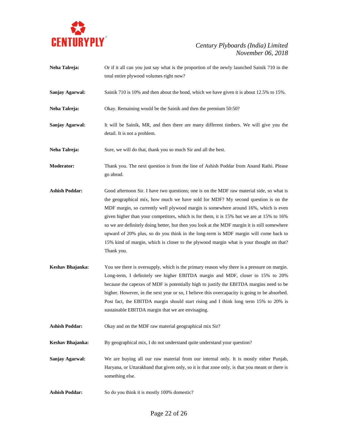

**Neha Talreja:** Or if it all can you just say what is the proportion of the newly launched Sainik 710 in the total entire plywood volumes right now? **Sanjay Agarwal:** Sainik 710 is 10% and then about the bond, which we have given it is about 12.5% to 15%. **Neha Talreja:** Okay. Remaining would be the Sainik and then the premium 50:50? **Sanjay Agarwal:** It will be Sainik, MR, and then there are many different timbers. We will give you the detail. It is not a problem. **Neha Talreja:** Sure, we will do that, thank you so much Sir and all the best. **Moderator:** Thank you. The next question is from the line of Ashish Poddar from Anand Rathi. Please go ahead. **Ashish Poddar:** Good afternoon Sir. I have two questions; one is on the MDF raw material side, so what is the geographical mix, how much we have sold for MDF? My second question is on the MDF margin, so currently well plywood margin is somewhere around 16%, which is even given higher than your competitors, which is for them, it is 15% but we are at 15% to 16% so we are definitely doing better, but then you look at the MDF margin it is still somewhere upward of 20% plus, so do you think in the long-term is MDF margin will come back to 15% kind of margin, which is closer to the plywood margin what is your thought on that? Thank you. **Keshav Bhajanka:** You see there is oversupply, which is the primary reason why there is a pressure on margin. Long-term, I definitely see higher EBITDA margin and MDF, closer to 15% to 20% because the capexes of MDF is potentially high to justify the EBITDA margins need to be higher. However, in the next year or so, I believe this overcapacity is going to be absorbed. Post fact, the EBITDA margin should start rising and I think long term 15% to 20% is sustainable EBITDA margin that we are envisaging. **Ashish Poddar:** Okay and on the MDF raw material geographical mix Sir? **Keshav Bhajanka:** By geographical mix, I do not understand quite understand your question? **Sanjay Agarwal:** We are buying all our raw material from our internal only. It is mostly either Punjab, Haryana, or Uttarakhand that given only, so it is that zone only, is that you meant or there is something else. Ashish Poddar: So do you think it is mostly 100% domestic?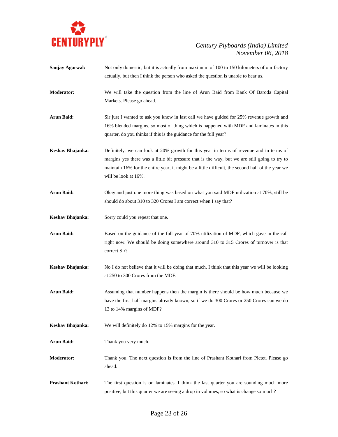

- **Sanjay Agarwal:** Not only domestic, but it is actually from maximum of 100 to 150 kilometers of our factory actually, but then I think the person who asked the question is unable to hear us. **Moderator:** We will take the question from the line of Arun Baid from Bank Of Baroda Capital Markets. Please go ahead. Arun Baid: Sir just I wanted to ask you know in last call we have guided for 25% revenue growth and 16% blended margins, so most of thing which is happened with MDF and laminates in this
- **Keshav Bhajanka:** Definitely, we can look at 20% growth for this year in terms of revenue and in terms of margins yes there was a little bit pressure that is the way, but we are still going to try to maintain 16% for the entire year, it might be a little difficult, the second half of the year we will be look at 16%.

quarter, do you thinks if this is the guidance for the full year?

- **Arun Baid:** Okay and just one more thing was based on what you said MDF utilization at 70%, still be should do about 310 to 320 Crores I am correct when I say that?
- **Keshav Bhajanka:** Sorry could you repeat that one.
- **Arun Baid:** Based on the guidance of the full year of 70% utilization of MDF, which gave in the call right now. We should be doing somewhere around 310 to 315 Crores of turnover is that correct Sir?
- **Keshav Bhajanka:** No I do not believe that it will be doing that much, I think that this year we will be looking at 250 to 300 Crores from the MDF.
- **Arun Baid:** Assuming that number happens then the margin is there should be how much because we have the first half margins already known, so if we do 300 Crores or 250 Crores can we do 13 to 14% margins of MDF?
- **Keshav Bhajanka:** We will definitely do 12% to 15% margins for the year.
- **Arun Baid:** Thank you very much.
- **Moderator:** Thank you. The next question is from the line of Prashant Kothari from Pictet. Please go ahead.
- **Prashant Kothari:** The first question is on laminates. I think the last quarter you are sounding much more positive, but this quarter we are seeing a drop in volumes, so what is change so much?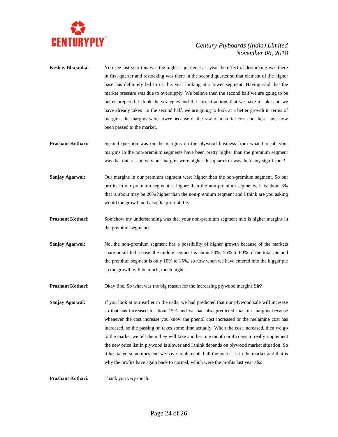

- **Keshav Bhajanka:** You see last year this was the highest quarter. Last year the effect of destocking was there in first quarter and restocking was there in the second quarter so that element of the higher base has definitely led to us this year looking at a lower segment. Having said that the market pressure was due to oversupply. We believe then the second half we are going to be better prepared. I think the strategies and the correct actions that we have to take and we have already taken. In the second half, we are going to look at a better growth in terms of margins, the margins were lower because of the raw of material cost and these have now been passed to the market.
- **Prashant Kothari:** Second question was on the margins on the plywood business from what I recall your margins in the non-premium segments have been pretty higher than the premium segment was that one reason why our margins were higher this quarter or was there any significant?
- **Sanjay Agarwal:** Our margins in our premium segment were higher than the non-premium segment. So our profits in our premium segment is higher than the non-premium segments, it is about 3% that is about may be 20% higher than the non-premium segment and I think are you asking would the growth and also the profitability.
- **Prashant Kothari:** Somehow my understanding was that your non-premium segment mix is higher margins in the premium segment?
- **Sanjay Agarwal:** No, the non-premium segment has a possibility of higher growth because of the markets share on all India basis the middle segment is about 50%, 55% to 60% of the total pie and the premium segment is only 10% to 15%, so now when we have entered into the bigger pie so the growth will be much, much higher.
- **Prashant Kothari:** Okay fine. So what was the big reason for the increasing plywood margins Sir?
- **Sanjay Agarwal:** If you look at our earlier in the calls, we had predicted that our plywood sale will increase so that has increased to about 15% and we had also predicted that our margins because whenever the cost increase you know the phenol cost increased or the melamine cost has increased, so the passing on takes some time actually. When the cost increased, then we go to the market we tell them they will take another one month or 45 days to really implement the new price list in plywood is slower and I think depends on plywood market situation. So it has taken sometimes and we have implemented all the increases in the market and that is why the profits have again back to normal, which were the profits last year also.

**Prashant Kothari:** Thank you very much.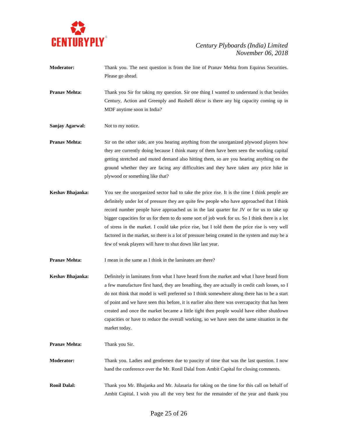

- **Moderator:** Thank you. The next question is from the line of Pranav Mehta from Equirus Securities. Please go ahead. **Pranav Mehta:** Thank you Sir for taking my question. Sir one thing I wanted to understand is that besides Century, Action and Greenply and Rushell décor is there any big capacity coming up in MDF anytime soon in India? **Sanjay Agarwal:** Not to my notice. **Pranav Mehta:** Sir on the other side, are you hearing anything from the unorganized plywood players how they are currently doing because I think many of them have been seen the working capital getting stretched and muted demand also hitting them, so are you hearing anything on the ground whether they are facing any difficulties and they have taken any price hike in plywood or something like that?
- **Keshav Bhajanka:** You see the unorganized sector had to take the price rise. It is the time I think people are definitely under lot of pressure they are quite few people who have approached that I think record number people have approached us in the last quarter for JV or for us to take up bigger capacities for us for them to do some sort of job work for us. So I think there is a lot of stress in the market. I could take price rise, but I told them the price rise is very well factored in the market, so there is a lot of pressure being created in the system and may be a few of weak players will have to shut down like last year.

**Pranav Mehta:** I mean in the same as I think in the laminates are there?

- **Keshav Bhajanka:** Definitely in laminates from what I have heard from the market and what I have heard from a few manufacture first hand, they are breathing, they are actually in credit cash losses, so I do not think that model is well preferred so I think somewhere along there has to be a start of point and we have seen this before, it is earlier also there was overcapacity that has been created and once the market became a little tight then people would have either shutdown capacities or have to reduce the overall working, so we have seen the same situation in the market today.
- **Pranav Mehta:** Thank you Sir. **Moderator:** Thank you. Ladies and gentlemen due to paucity of time that was the last question. I now hand the conference over the Mr. Ronil Dalal from Ambit Capital for closing comments. **Ronil Dalal:** Thank you Mr. Bhajanka and Mr. Julasaria for taking on the time for this call on behalf of Ambit Capital. I wish you all the very best for the remainder of the year and thank you